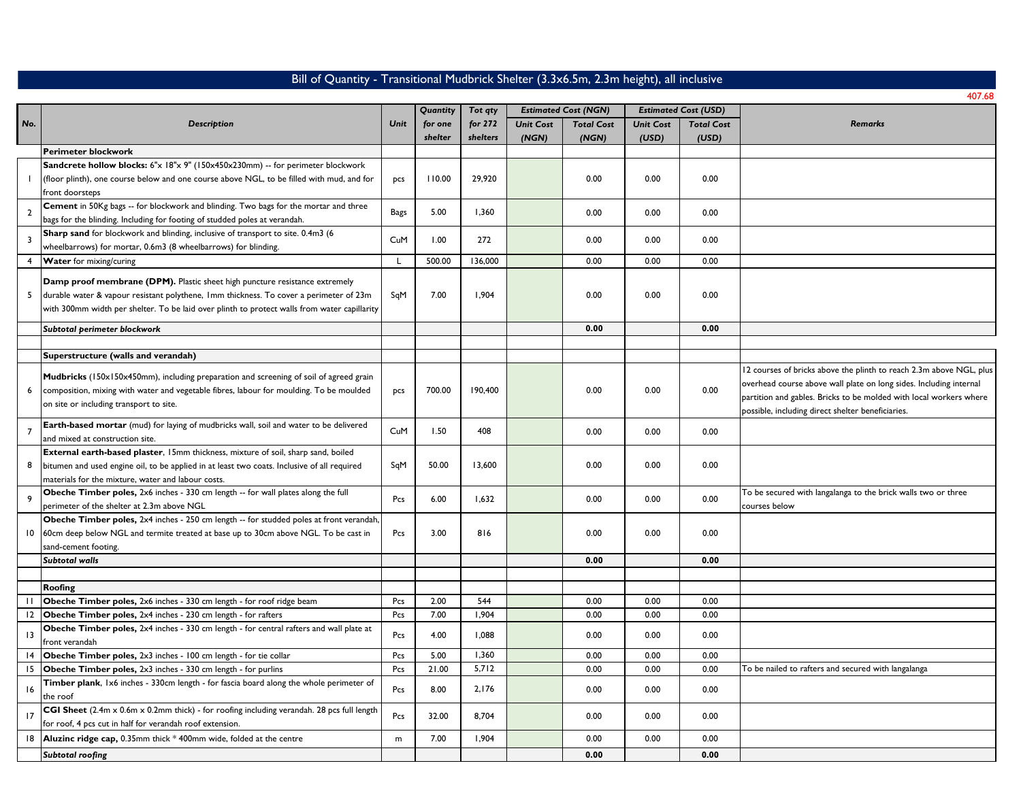## Bill of Quantity - Transitional Mudbrick Shelter (3.3x6.5m, 2.3m height), all inclusive

|                         |                                                                                              |           | Quantity | Tot qty  |                  | <b>Estimated Cost (NGN)</b> |                  | <b>Estimated Cost (USD)</b> |                                                                     |
|-------------------------|----------------------------------------------------------------------------------------------|-----------|----------|----------|------------------|-----------------------------|------------------|-----------------------------|---------------------------------------------------------------------|
| No.                     | Description                                                                                  | Unit      | for one  | for 272  | <b>Unit Cost</b> | <b>Total Cost</b>           | <b>Unit Cost</b> | <b>Total Cost</b>           | <b>Remarks</b>                                                      |
|                         |                                                                                              |           | shelter  | shelters | (NGN)            | (NGN)                       | (USD)            | (USD)                       |                                                                     |
|                         | <b>Perimeter blockwork</b>                                                                   |           |          |          |                  |                             |                  |                             |                                                                     |
|                         | Sandcrete hollow blocks: 6"x 18"x 9" (150x450x230mm) -- for perimeter blockwork              |           |          |          |                  |                             |                  |                             |                                                                     |
|                         | (floor plinth), one course below and one course above NGL, to be filled with mud, and for    | pcs       | 110.00   | 29.920   |                  | 0.00                        | 0.00             | 0.00                        |                                                                     |
|                         | front doorsteps                                                                              |           |          |          |                  |                             |                  |                             |                                                                     |
| $\overline{2}$          | Cement in 50Kg bags -- for blockwork and blinding. Two bags for the mortar and three         | Bags      | 5.00     | 1,360    |                  | 0.00                        | 0.00             | 0.00                        |                                                                     |
|                         | bags for the blinding. Including for footing of studded poles at verandah.                   |           |          |          |                  |                             |                  |                             |                                                                     |
| $\overline{\mathbf{3}}$ | Sharp sand for blockwork and blinding, inclusive of transport to site. 0.4m3 (6              | CuM       | 1.00     | 272      |                  | 0.00                        | 0.00             | 0.00                        |                                                                     |
|                         | wheelbarrows) for mortar, 0.6m3 (8 wheelbarrows) for blinding.                               |           |          |          |                  |                             |                  |                             |                                                                     |
| $\overline{4}$          | Water for mixing/curing                                                                      | L         | 500.00   | 136.000  |                  | 0.00                        | 0.00             | 0.00                        |                                                                     |
|                         | Damp proof membrane (DPM). Plastic sheet high puncture resistance extremely                  |           |          |          |                  |                             |                  |                             |                                                                     |
| 5                       | durable water & vapour resistant polythene, Imm thickness. To cover a perimeter of 23m       | SqM       | 7.00     | 1,904    |                  | 0.00                        | 0.00             | 0.00                        |                                                                     |
|                         |                                                                                              |           |          |          |                  |                             |                  |                             |                                                                     |
|                         | with 300mm width per shelter. To be laid over plinth to protect walls from water capillarity |           |          |          |                  |                             |                  |                             |                                                                     |
|                         | Subtotal perimeter blockwork                                                                 |           |          |          |                  | 0.00                        |                  | 0.00                        |                                                                     |
|                         |                                                                                              |           |          |          |                  |                             |                  |                             |                                                                     |
|                         | Superstructure (walls and verandah)                                                          |           |          |          |                  |                             |                  |                             |                                                                     |
|                         | Mudbricks (150x150x450mm), including preparation and screening of soil of agreed grain       |           |          |          |                  |                             |                  |                             | 12 courses of bricks above the plinth to reach 2.3m above NGL, plus |
| 6                       | composition, mixing with water and vegetable fibres, labour for moulding. To be moulded      | pcs       | 700.00   | 190.400  |                  | 0.00                        | 0.00             | 0.00                        | overhead course above wall plate on long sides. Including internal  |
|                         | on site or including transport to site.                                                      |           |          |          |                  |                             |                  |                             | partition and gables. Bricks to be molded with local workers where  |
|                         |                                                                                              |           |          |          |                  |                             |                  |                             | possible, including direct shelter beneficiaries.                   |
| $\overline{7}$          | Earth-based mortar (mud) for laying of mudbricks wall, soil and water to be delivered        | CuM       | 1.50     | 408      |                  | 0.00                        | 0.00             | 0.00                        |                                                                     |
|                         | and mixed at construction site.                                                              |           |          |          |                  |                             |                  |                             |                                                                     |
|                         | External earth-based plaster, 15mm thickness, mixture of soil, sharp sand, boiled            |           |          |          |                  |                             |                  |                             |                                                                     |
| 8                       | bitumen and used engine oil, to be applied in at least two coats. Inclusive of all required  | SqM       | 50.00    | 13.600   |                  | 0.00                        | 0.00             | 0.00                        |                                                                     |
|                         | materials for the mixture, water and labour costs.                                           |           |          |          |                  |                             |                  |                             |                                                                     |
| $\overline{9}$          | Obeche Timber poles, 2x6 inches - 330 cm length -- for wall plates along the full            | Pcs       | 6.00     | 1,632    |                  | 0.00                        | 0.00             | 0.00                        | To be secured with langalanga to the brick walls two or three       |
|                         | perimeter of the shelter at 2.3m above NGL                                                   |           |          |          |                  |                             |                  |                             | courses below                                                       |
|                         | Obeche Timber poles, 2x4 inches - 250 cm length -- for studded poles at front verandah,      |           |          |          |                  |                             |                  |                             |                                                                     |
| 10                      | 60cm deep below NGL and termite treated at base up to 30cm above NGL. To be cast in          | Pcs       | 3.00     | 816      |                  | 0.00                        | 0.00             | 0.00                        |                                                                     |
|                         | sand-cement footing.                                                                         |           |          |          |                  |                             |                  |                             |                                                                     |
|                         | Subtotal walls                                                                               |           |          |          |                  | 0.00                        |                  | 0.00                        |                                                                     |
|                         |                                                                                              |           |          |          |                  |                             |                  |                             |                                                                     |
| $\perp$                 | Roofing                                                                                      |           | 2.00     | 544      |                  | 0.00                        | 0.00             | 0.00                        |                                                                     |
|                         | Obeche Timber poles, 2x6 inches - 330 cm length - for roof ridge beam                        | Pcs       |          |          |                  |                             |                  |                             |                                                                     |
| 12                      | Obeche Timber poles, 2x4 inches - 230 cm length - for rafters                                | Pcs       | 7.00     | 1,904    |                  | 0.00                        | 0.00             | 0.00                        |                                                                     |
| $\overline{13}$         | Obeche Timber poles, 2x4 inches - 330 cm length - for central rafters and wall plate at      | Pcs       | 4.00     | 1,088    |                  | 0.00                        | 0.00             | 0.00                        |                                                                     |
| 4                       | front verandah<br>Obeche Timber poles, 2x3 inches - 100 cm length - for tie collar           | Pcs       | 5.00     | 1,360    |                  | 0.00                        | 0.00             | 0.00                        |                                                                     |
| 15                      | Obeche Timber poles, 2x3 inches - 330 cm length - for purlins                                | Pcs       | 21.00    | 5,712    |                  | 0.00                        | 0.00             | 0.00                        | To be nailed to rafters and secured with langalanga                 |
|                         | Timber plank, 1x6 inches - 330cm length - for fascia board along the whole perimeter of      |           |          |          |                  |                             |                  |                             |                                                                     |
| 16                      | the roof                                                                                     | Pcs       | 8.00     | 2,176    |                  | 0.00                        | 0.00             | 0.00                        |                                                                     |
|                         | CGI Sheet (2.4m x 0.6m x 0.2mm thick) - for roofing including verandah. 28 pcs full length   |           |          |          |                  |                             |                  |                             |                                                                     |
| $\overline{17}$         | for roof, 4 pcs cut in half for verandah roof extension.                                     | Pcs       | 32.00    | 8.704    |                  | 0.00                        | 0.00             | 0.00                        |                                                                     |
| 18                      |                                                                                              |           | 7.00     | 1,904    |                  | 0.00                        | 0.00             | 0.00                        |                                                                     |
|                         | Aluzinc ridge cap, 0.35mm thick * 400mm wide, folded at the centre                           | ${\sf m}$ |          |          |                  |                             |                  |                             |                                                                     |
|                         | Subtotal roofing                                                                             |           |          |          |                  | 0.00                        |                  | 0.00                        |                                                                     |

407.68